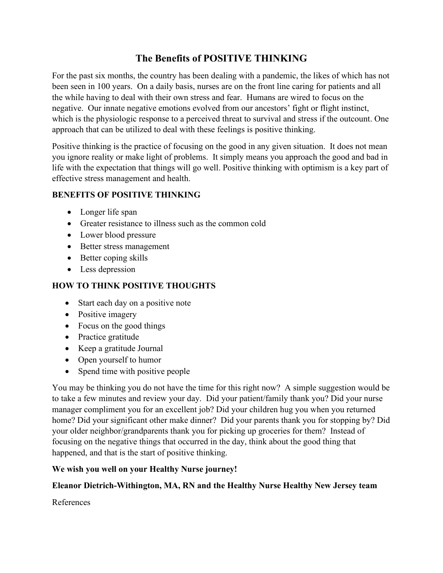# **The Benefits of POSITIVE THINKING**

For the past six months, the country has been dealing with a pandemic, the likes of which has not been seen in 100 years. On a daily basis, nurses are on the front line caring for patients and all the while having to deal with their own stress and fear. Humans are wired to focus on the negative. Our innate negative emotions evolved from our ancestors' fight or flight instinct, which is the physiologic response to a perceived threat to survival and stress if the outcount. One approach that can be utilized to deal with these feelings is positive thinking.

Positive thinking is the practice of focusing on the good in any given situation. It does not mean you ignore reality or make light of problems. It simply means you approach the good and bad in life with the expectation that things will go well. Positive thinking with optimism is a key part of effective stress management and health.

#### **BENEFITS OF POSITIVE THINKING**

- Longer life span
- Greater resistance to illness such as the common cold
- Lower blood pressure
- Better stress management
- Better coping skills
- Less depression

# **HOW TO THINK POSITIVE THOUGHTS**

- Start each day on a positive note
- Positive imagery
- Focus on the good things
- Practice gratitude
- Keep a gratitude Journal
- Open yourself to humor
- Spend time with positive people

You may be thinking you do not have the time for this right now? A simple suggestion would be to take a few minutes and review your day. Did your patient/family thank you? Did your nurse manager compliment you for an excellent job? Did your children hug you when you returned home? Did your significant other make dinner? Did your parents thank you for stopping by? Did your older neighbor/grandparents thank you for picking up groceries for them? Instead of focusing on the negative things that occurred in the day, think about the good thing that happened, and that is the start of positive thinking.

## **We wish you well on your Healthy Nurse journey!**

## **Eleanor Dietrich-Withington, MA, RN and the Healthy Nurse Healthy New Jersey team**

References